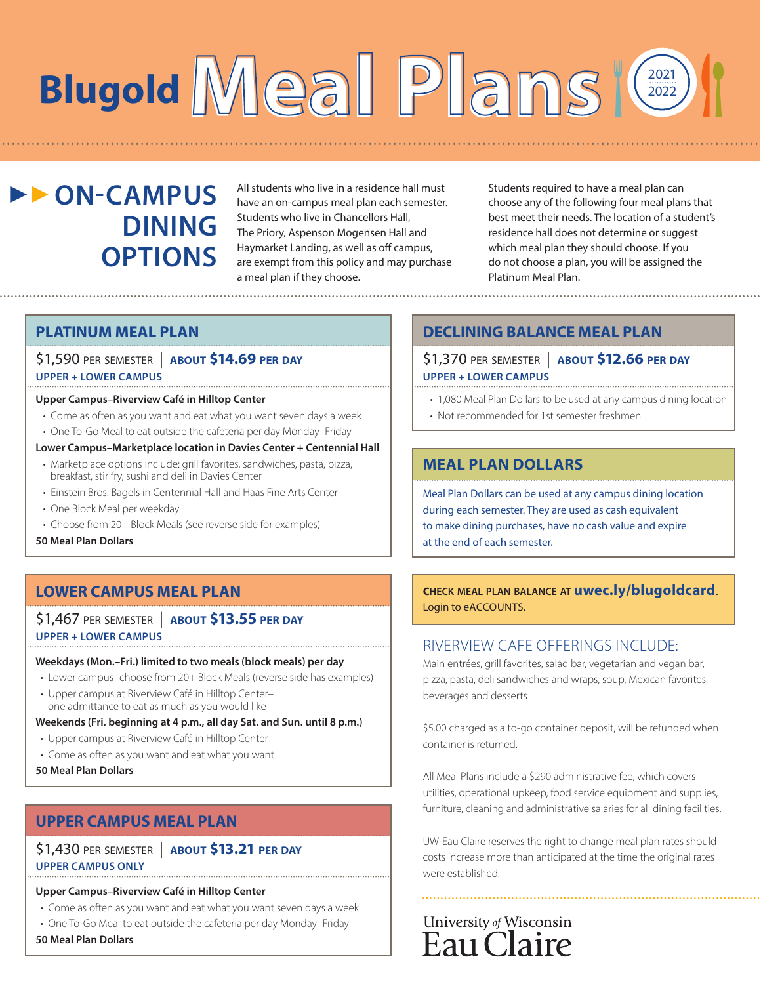# **Meal Plans Blugold**  2021 2022

# **DI-CAMPUS DINING OPTIONS**

All students who live in a residence hall must have an on-campus meal plan each semester. Students who live in Chancellors Hall, The Priory, Aspenson Mogensen Hall and Haymarket Landing, as well as off campus, are exempt from this policy and may purchase a meal plan if they choose.

Students required to have a meal plan can choose any of the following four meal plans that best meet their needs. The location of a student's residence hall does not determine or suggest which meal plan they should choose. If you do not choose a plan, you will be assigned the Platinum Meal Plan.

### **PLATINUM MEAL PLAN**

### \$1,590 per semester| **about \$14.69 per day UPPER + LOWER CAMPUS**

### **Upper Campus–Riverview Café in Hilltop Center**

- Come as often as you want and eat what you want seven days a week
- One To-Go Meal to eat outside the cafeteria per day Monday–Friday
- **Lower Campus–Marketplace location in Davies Center + Centennial Hall**
- Marketplace options include: grill favorites, sandwiches, pasta, pizza, breakfast, stir fry, sushi and deli in Davies Center
- Einstein Bros. Bagels in Centennial Hall and Haas Fine Arts Center
- One Block Meal per weekday
- Choose from 20+ Block Meals (see reverse side for examples)

**50 Meal Plan Dollars**

### **LOWER CAMPUS MEAL PLAN**

\$1,467 per semester| **about \$13.55 per day UPPER + LOWER CAMPUS**

### **Weekdays (Mon.–Fri.) limited to two meals (block meals) per day**

- Lower campus–choose from 20+ Block Meals (reverse side has examples)
- Upper campus at Riverview Café in Hilltop Center– one admittance to eat as much as you would like

#### **Weekends (Fri. beginning at 4 p.m., all day Sat. and Sun. until 8 p.m.)**

- Upper campus at Riverview Café in Hilltop Center
- Come as often as you want and eat what you want
- **50 Meal Plan Dollars**

### **UPPER CAMPUS MEAL PLAN**

### \$1,430 per semester| **about \$13.21 per day UPPER CAMPUS ONLY**

### **Upper Campus–Riverview Café in Hilltop Center**

- Come as often as you want and eat what you want seven days a week
- One To-Go Meal to eat outside the cafeteria per day Monday–Friday

**50 Meal Plan Dollars**

# **DECLINING BALANCE MEAL PLAN**

\$1,370 per semester| **about \$12.66 per day UPPER + LOWER CAMPUS**

- 1,080 Meal Plan Dollars to be used at any campus dining location
- Not recommended for 1st semester freshmen

# **MEAL PLAN DOLLARS**

Meal Plan Dollars can be used at any campus dining location during each semester. They are used as cash equivalent to make dining purchases, have no cash value and expire at the end of each semester.

### **check meal plan balance at uwec.ly/blugoldcard**. Login to eACCOUNTS.

### RIVERVIEW CAFE OFFERINGS INCLUDE:

Main entrées, grill favorites, salad bar, vegetarian and vegan bar, pizza, pasta, deli sandwiches and wraps, soup, Mexican favorites, beverages and desserts

\$5.00 charged as a to-go container deposit, will be refunded when container is returned.

All Meal Plans include a \$290 administrative fee, which covers utilities, operational upkeep, food service equipment and supplies, furniture, cleaning and administrative salaries for all dining facilities.

UW-Eau Claire reserves the right to change meal plan rates should costs increase more than anticipated at the time the original rates were established.

# University of Wisconsin Eau Claire